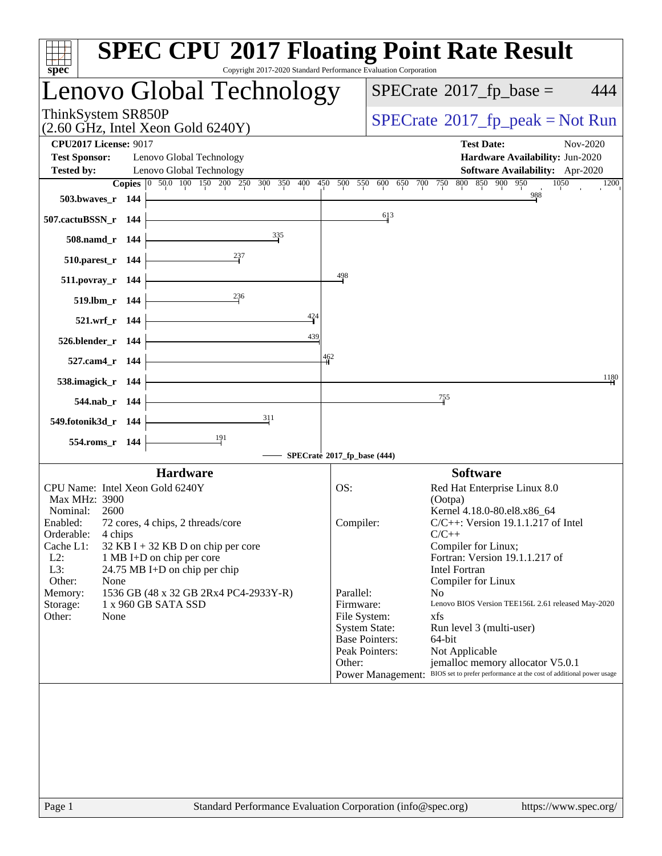| spec <sup>®</sup>                                                                                                                 | <b>SPEC CPU®2017 Floating Point Rate Result</b><br>Copyright 2017-2020 Standard Performance Evaluation Corporation |
|-----------------------------------------------------------------------------------------------------------------------------------|--------------------------------------------------------------------------------------------------------------------|
| Lenovo Global Technology                                                                                                          | $SPECrate^{\circ}2017$ _fp_base =<br>444                                                                           |
| ThinkSystem SR850P<br>$(2.60 \text{ GHz}, \text{Intel Xeon Gold } 6240 \text{Y})$                                                 | $SPECrate^{\circ}2017rfp peak = Not Run$                                                                           |
| <b>CPU2017 License: 9017</b><br><b>Test Sponsor:</b><br>Lenovo Global Technology<br>Lenovo Global Technology<br><b>Tested by:</b> | <b>Test Date:</b><br>Nov-2020<br>Hardware Availability: Jun-2020<br>Software Availability: Apr-2020                |
|                                                                                                                                   | Copies 0 50.0 100 150 200 250 300 350 400 450 500 550 600 650 700 750 800 850 900 950<br>1050<br>1200              |
| 503.bwayes_r $144$                                                                                                                | 988                                                                                                                |
| 507.cactuBSSN_r 144                                                                                                               | 613                                                                                                                |
| 335<br>$508$ .namd_r 144                                                                                                          |                                                                                                                    |
| 510.parest_r $144$                                                                                                                |                                                                                                                    |
| $511. povray_r 144$                                                                                                               | 498                                                                                                                |
| 236<br>$519.1 \text{bm}_r 144$                                                                                                    |                                                                                                                    |
| 424<br>$521.wrf_r 144$                                                                                                            |                                                                                                                    |
| 439<br>$526.$ blender_r 144                                                                                                       |                                                                                                                    |
| 527.cam4_r 144  -                                                                                                                 | 462                                                                                                                |
| 538.imagick_r $144$                                                                                                               | 1180                                                                                                               |
| $544$ .nab_r 144                                                                                                                  | 755                                                                                                                |
| 311<br>549.fotonik3d_r 144 $\vert$                                                                                                |                                                                                                                    |
| $\frac{191}{2}$<br>554.roms_r 144                                                                                                 |                                                                                                                    |
|                                                                                                                                   | - SPECrate®2017_fp_base (444)<br><b>Software</b>                                                                   |
| <b>Hardware</b><br>CPU Name: Intel Xeon Gold 6240Y                                                                                | Red Hat Enterprise Linux 8.0<br>OS:                                                                                |
| Max MHz: 3900                                                                                                                     | (Ootpa)                                                                                                            |
| Nominal: 2600<br>72 cores, 4 chips, 2 threads/core<br>Enabled:                                                                    | Kernel 4.18.0-80.el8.x86_64<br>$C/C++$ : Version 19.1.1.217 of Intel<br>Compiler:                                  |
| Orderable:<br>4 chips                                                                                                             | $C/C++$                                                                                                            |
| Cache L1:<br>$32$ KB I + 32 KB D on chip per core<br>$L2$ :                                                                       | Compiler for Linux;<br>Fortran: Version 19.1.1.217 of                                                              |
| 1 MB I+D on chip per core<br>L3:<br>24.75 MB I+D on chip per chip                                                                 | Intel Fortran                                                                                                      |
| Other:<br>None                                                                                                                    | Compiler for Linux<br>Parallel:                                                                                    |
| 1536 GB (48 x 32 GB 2Rx4 PC4-2933Y-R)<br>Memory:<br>1 x 960 GB SATA SSD<br>Storage:                                               | N <sub>0</sub><br>Lenovo BIOS Version TEE156L 2.61 released May-2020<br>Firmware:                                  |
| Other:<br>None                                                                                                                    | File System:<br>xfs                                                                                                |
|                                                                                                                                   | <b>System State:</b><br>Run level 3 (multi-user)                                                                   |
|                                                                                                                                   | <b>Base Pointers:</b><br>64-bit<br>Peak Pointers:<br>Not Applicable                                                |
|                                                                                                                                   | Other:<br>jemalloc memory allocator V5.0.1                                                                         |
|                                                                                                                                   | Power Management: BIOS set to prefer performance at the cost of additional power usage                             |
|                                                                                                                                   |                                                                                                                    |
|                                                                                                                                   |                                                                                                                    |
|                                                                                                                                   |                                                                                                                    |
|                                                                                                                                   |                                                                                                                    |
|                                                                                                                                   |                                                                                                                    |
|                                                                                                                                   |                                                                                                                    |
|                                                                                                                                   |                                                                                                                    |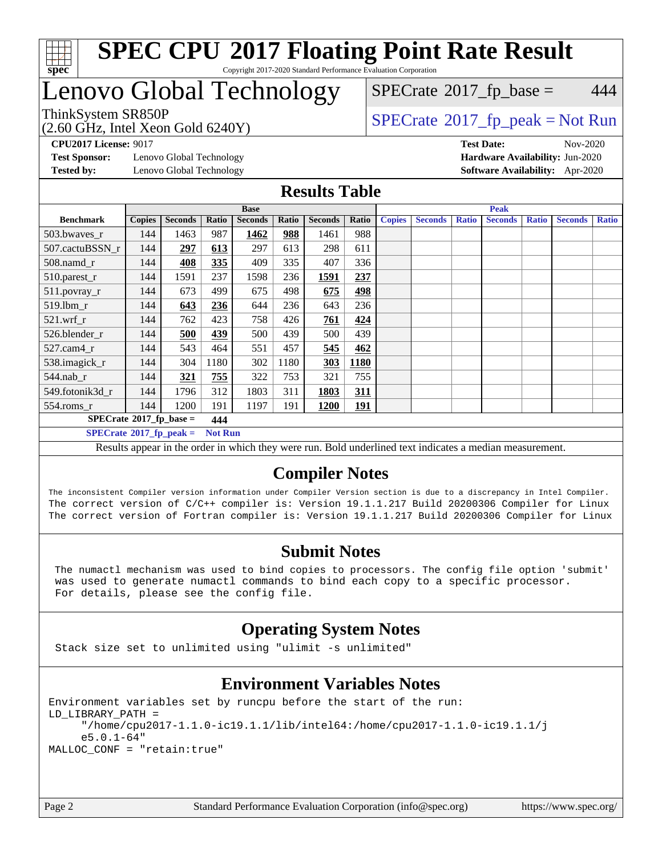

### Lenovo Global Technology

(2.60 GHz, Intel Xeon Gold 6240Y)

ThinkSystem SR850P<br>  $\begin{array}{c}\n\text{SPECTB} \\
\text{SPECTB} \\
\text{SPECTB} \\
\text{SPECTB} \\
\text{SPECTB} \\
\text{SPECTB} \\
\text{SPECTB} \\
\text{SPECTB} \\
\text{SPECTB} \\
\text{SPECTB} \\
\text{SPECTB} \\
\text{SPECTB} \\
\text{SPECTB} \\
\text{SPECTB} \\
\text{SPECTB} \\
\text{SPECTB} \\
\text{SPECTB} \\
\text{SPECTB} \\
\text{SPECTB} \\
\text{SPECTB} \\
\text{SPECTB} \\
\text{SPECTB} \\
\text{SISTB} \\
\text{SISTB} \\$  $SPECTate@2017<sub>fr</sub> base = 444$ 

**[Test Sponsor:](http://www.spec.org/auto/cpu2017/Docs/result-fields.html#TestSponsor)** Lenovo Global Technology **[Hardware Availability:](http://www.spec.org/auto/cpu2017/Docs/result-fields.html#HardwareAvailability)** Jun-2020 **[Tested by:](http://www.spec.org/auto/cpu2017/Docs/result-fields.html#Testedby)** Lenovo Global Technology **[Software Availability:](http://www.spec.org/auto/cpu2017/Docs/result-fields.html#SoftwareAvailability)** Apr-2020

**[CPU2017 License:](http://www.spec.org/auto/cpu2017/Docs/result-fields.html#CPU2017License)** 9017 **[Test Date:](http://www.spec.org/auto/cpu2017/Docs/result-fields.html#TestDate)** Nov-2020

#### **[Results Table](http://www.spec.org/auto/cpu2017/Docs/result-fields.html#ResultsTable)**

| <b>Base</b>                                         |               |                |       | <b>Peak</b>    |       |                           |            |                                                                                          |                |              |                |              |                |              |
|-----------------------------------------------------|---------------|----------------|-------|----------------|-------|---------------------------|------------|------------------------------------------------------------------------------------------|----------------|--------------|----------------|--------------|----------------|--------------|
| <b>Benchmark</b>                                    | <b>Copies</b> | <b>Seconds</b> | Ratio | <b>Seconds</b> | Ratio | <b>Seconds</b>            | Ratio      | <b>Copies</b>                                                                            | <b>Seconds</b> | <b>Ratio</b> | <b>Seconds</b> | <b>Ratio</b> | <b>Seconds</b> | <b>Ratio</b> |
| 503.bwayes_r                                        | 144           | 1463           | 987   | 1462           | 988   | 1461                      | 988        |                                                                                          |                |              |                |              |                |              |
| 507.cactuBSSN r                                     | 144           | 297            | 613   | 297            | 613   | 298                       | 611        |                                                                                          |                |              |                |              |                |              |
| $508$ .namd $r$                                     | 144           | 408            | 335   | 409            | 335   | 407                       | 336        |                                                                                          |                |              |                |              |                |              |
| 510.parest_r                                        | 144           | 1591           | 237   | 1598           | 236   | 1591                      | 237        |                                                                                          |                |              |                |              |                |              |
| 511.povray_r                                        | 144           | 673            | 499   | 675            | 498   | 675                       | 498        |                                                                                          |                |              |                |              |                |              |
| 519.1bm_r                                           | 144           | 643            | 236   | 644            | 236   | 643                       | 236        |                                                                                          |                |              |                |              |                |              |
| $521$ .wrf r                                        | 144           | 762            | 423   | 758            | 426   | 761                       | 424        |                                                                                          |                |              |                |              |                |              |
| 526.blender r                                       | 144           | 500            | 439   | 500            | 439   | 500                       | 439        |                                                                                          |                |              |                |              |                |              |
| $527$ .cam $4r$                                     | 144           | 543            | 464   | 551            | 457   | 545                       | 462        |                                                                                          |                |              |                |              |                |              |
| 538.imagick_r                                       | 144           | 304            | 1180  | 302            | 1180  | 303                       | 1180       |                                                                                          |                |              |                |              |                |              |
| $544$ .nab r                                        | 144           | <u>321</u>     | 755   | 322            | 753   | 321                       | 755        |                                                                                          |                |              |                |              |                |              |
| 549.fotonik3d r                                     | 144           | 1796           | 312   | 1803           | 311   | 1803                      | 311        |                                                                                          |                |              |                |              |                |              |
| $554$ .roms $r$                                     | 144           | 1200           | 191   | 1197           | 191   | <b>1200</b>               | <u>191</u> |                                                                                          |                |              |                |              |                |              |
| $SPECrate^{\circ}2017$ fp base =<br>444             |               |                |       |                |       |                           |            |                                                                                          |                |              |                |              |                |              |
| $SPECrate^{\circ}2017$ _fp_peak =<br><b>Not Run</b> |               |                |       |                |       |                           |            |                                                                                          |                |              |                |              |                |              |
| $\mathbf{m}$ and $\mathbf{m}$                       |               | $\sim$ $\sim$  |       | .              |       | $\mathbf{r}$ $\mathbf{r}$ |            | $-1$ , $-1$ , $-1$ , $-1$ , $-1$ , $-1$ , $-1$ , $-1$ , $-1$ , $-1$ , $-1$ , $-1$ , $-1$ |                |              | $\mathbf{H}$   |              |                |              |

Results appear in the [order in which they were run](http://www.spec.org/auto/cpu2017/Docs/result-fields.html#RunOrder). Bold underlined text [indicates a median measurement.](http://www.spec.org/auto/cpu2017/Docs/result-fields.html#Median)

### **[Compiler Notes](http://www.spec.org/auto/cpu2017/Docs/result-fields.html#CompilerNotes)**

The inconsistent Compiler version information under Compiler Version section is due to a discrepancy in Intel Compiler. The correct version of C/C++ compiler is: Version 19.1.1.217 Build 20200306 Compiler for Linux The correct version of Fortran compiler is: Version 19.1.1.217 Build 20200306 Compiler for Linux

### **[Submit Notes](http://www.spec.org/auto/cpu2017/Docs/result-fields.html#SubmitNotes)**

 The numactl mechanism was used to bind copies to processors. The config file option 'submit' was used to generate numactl commands to bind each copy to a specific processor. For details, please see the config file.

### **[Operating System Notes](http://www.spec.org/auto/cpu2017/Docs/result-fields.html#OperatingSystemNotes)**

Stack size set to unlimited using "ulimit -s unlimited"

### **[Environment Variables Notes](http://www.spec.org/auto/cpu2017/Docs/result-fields.html#EnvironmentVariablesNotes)**

Environment variables set by runcpu before the start of the run: LD\_LIBRARY\_PATH = "/home/cpu2017-1.1.0-ic19.1.1/lib/intel64:/home/cpu2017-1.1.0-ic19.1.1/j e5.0.1-64" MALLOC\_CONF = "retain:true"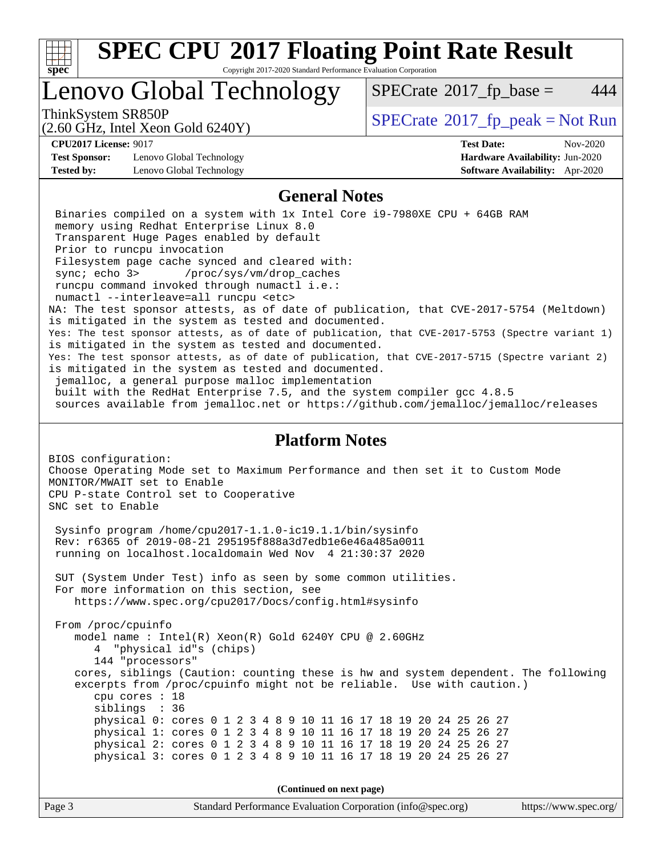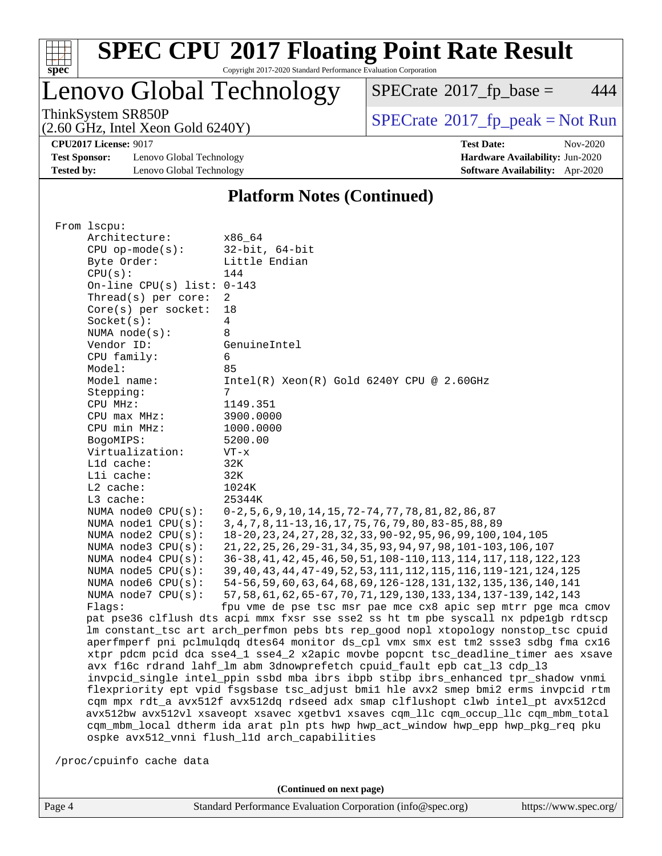

# **[SPEC CPU](http://www.spec.org/auto/cpu2017/Docs/result-fields.html#SPECCPU2017FloatingPointRateResult)[2017 Floating Point Rate Result](http://www.spec.org/auto/cpu2017/Docs/result-fields.html#SPECCPU2017FloatingPointRateResult)**

Copyright 2017-2020 Standard Performance Evaluation Corporation

# Lenovo Global Technology

 $SPECTate@2017_fp\_base = 444$ 

(2.60 GHz, Intel Xeon Gold 6240Y)

ThinkSystem SR850P<br>  $(2.60 \text{ GHz})$  Intel Xeon Gold 6240Y)

**[CPU2017 License:](http://www.spec.org/auto/cpu2017/Docs/result-fields.html#CPU2017License)** 9017 **[Test Date:](http://www.spec.org/auto/cpu2017/Docs/result-fields.html#TestDate)** Nov-2020

**[Test Sponsor:](http://www.spec.org/auto/cpu2017/Docs/result-fields.html#TestSponsor)** Lenovo Global Technology **[Hardware Availability:](http://www.spec.org/auto/cpu2017/Docs/result-fields.html#HardwareAvailability)** Jun-2020 **[Tested by:](http://www.spec.org/auto/cpu2017/Docs/result-fields.html#Testedby)** Lenovo Global Technology **[Software Availability:](http://www.spec.org/auto/cpu2017/Docs/result-fields.html#SoftwareAvailability)** Apr-2020

#### **[Platform Notes \(Continued\)](http://www.spec.org/auto/cpu2017/Docs/result-fields.html#PlatformNotes)**

| From 1scpu:                                    |                                                                                                                                                                        |  |  |  |  |  |
|------------------------------------------------|------------------------------------------------------------------------------------------------------------------------------------------------------------------------|--|--|--|--|--|
| Architecture:                                  | x86 64                                                                                                                                                                 |  |  |  |  |  |
| $CPU$ op-mode( $s$ ):                          | $32$ -bit, $64$ -bit                                                                                                                                                   |  |  |  |  |  |
| Byte Order:                                    | Little Endian                                                                                                                                                          |  |  |  |  |  |
| CPU(s):                                        | 144                                                                                                                                                                    |  |  |  |  |  |
| On-line CPU(s) list: $0-143$                   |                                                                                                                                                                        |  |  |  |  |  |
| Thread( $s$ ) per core:                        | $\overline{2}$                                                                                                                                                         |  |  |  |  |  |
| $Core(s)$ per socket:                          | 18                                                                                                                                                                     |  |  |  |  |  |
| Socket(s):                                     | $\overline{4}$                                                                                                                                                         |  |  |  |  |  |
| NUMA $node(s):$                                | 8                                                                                                                                                                      |  |  |  |  |  |
| Vendor ID:                                     | GenuineIntel                                                                                                                                                           |  |  |  |  |  |
| CPU family:                                    | 6                                                                                                                                                                      |  |  |  |  |  |
| Model:                                         | 85                                                                                                                                                                     |  |  |  |  |  |
| Model name:                                    | $Intel(R) Xeon(R) Gold 6240Y CPU @ 2.60GHz$                                                                                                                            |  |  |  |  |  |
| Stepping:                                      | 7                                                                                                                                                                      |  |  |  |  |  |
| CPU MHz:                                       | 1149.351                                                                                                                                                               |  |  |  |  |  |
| CPU max MHz:                                   | 3900.0000                                                                                                                                                              |  |  |  |  |  |
| CPU min MHz:                                   | 1000.0000                                                                                                                                                              |  |  |  |  |  |
| BogoMIPS:                                      | 5200.00                                                                                                                                                                |  |  |  |  |  |
| Virtualization:                                | $VT - x$                                                                                                                                                               |  |  |  |  |  |
| L1d cache:                                     | 32K                                                                                                                                                                    |  |  |  |  |  |
| Lli cache:                                     | 32K                                                                                                                                                                    |  |  |  |  |  |
| L2 cache:                                      | 1024K                                                                                                                                                                  |  |  |  |  |  |
| L3 cache:                                      | 25344K                                                                                                                                                                 |  |  |  |  |  |
|                                                |                                                                                                                                                                        |  |  |  |  |  |
| NUMA node0 CPU(s):                             | $0-2, 5, 6, 9, 10, 14, 15, 72-74, 77, 78, 81, 82, 86, 87$<br>3, 4, 7, 8, 11-13, 16, 17, 75, 76, 79, 80, 83-85, 88, 89                                                  |  |  |  |  |  |
| NUMA nodel CPU(s):                             |                                                                                                                                                                        |  |  |  |  |  |
| NUMA node2 CPU(s):                             | 18-20, 23, 24, 27, 28, 32, 33, 90-92, 95, 96, 99, 100, 104, 105<br>21, 22, 25, 26, 29-31, 34, 35, 93, 94, 97, 98, 101-103, 106, 107                                    |  |  |  |  |  |
| NUMA $node3$ CPU $(s)$ :<br>NUMA node4 CPU(s): | 36-38, 41, 42, 45, 46, 50, 51, 108-110, 113, 114, 117, 118, 122, 123                                                                                                   |  |  |  |  |  |
| NUMA $node5$ $CPU(s):$                         | 39, 40, 43, 44, 47-49, 52, 53, 111, 112, 115, 116, 119-121, 124, 125                                                                                                   |  |  |  |  |  |
| NUMA node6 CPU(s):                             | 54-56, 59, 60, 63, 64, 68, 69, 126-128, 131, 132, 135, 136, 140, 141                                                                                                   |  |  |  |  |  |
| NUMA $node7$ CPU $(s)$ :                       |                                                                                                                                                                        |  |  |  |  |  |
| Flaqs:                                         | 57, 58, 61, 62, 65-67, 70, 71, 129, 130, 133, 134, 137-139, 142, 143<br>fpu vme de pse tsc msr pae mce cx8 apic sep mtrr pge mca cmov                                  |  |  |  |  |  |
|                                                | pat pse36 clflush dts acpi mmx fxsr sse sse2 ss ht tm pbe syscall nx pdpe1qb rdtscp                                                                                    |  |  |  |  |  |
|                                                | lm constant_tsc art arch_perfmon pebs bts rep_good nopl xtopology nonstop_tsc cpuid                                                                                    |  |  |  |  |  |
|                                                | aperfmperf pni pclmulqdq dtes64 monitor ds_cpl vmx smx est tm2 ssse3 sdbg fma cx16                                                                                     |  |  |  |  |  |
|                                                | xtpr pdcm pcid dca sse4_1 sse4_2 x2apic movbe popcnt tsc_deadline_timer aes xsave                                                                                      |  |  |  |  |  |
|                                                | avx f16c rdrand lahf_lm abm 3dnowprefetch cpuid_fault epb cat_13 cdp_13                                                                                                |  |  |  |  |  |
|                                                | invpcid_single intel_ppin ssbd mba ibrs ibpb stibp ibrs_enhanced tpr_shadow vnmi                                                                                       |  |  |  |  |  |
|                                                |                                                                                                                                                                        |  |  |  |  |  |
|                                                | flexpriority ept vpid fsgsbase tsc_adjust bmil hle avx2 smep bmi2 erms invpcid rtm<br>cqm mpx rdt_a avx512f avx512dq rdseed adx smap clflushopt clwb intel_pt avx512cd |  |  |  |  |  |
|                                                | avx512bw avx512vl xsaveopt xsavec xgetbvl xsaves cqm_llc cqm_occup_llc cqm_mbm_total                                                                                   |  |  |  |  |  |
|                                                | cqm_mbm_local dtherm ida arat pln pts hwp hwp_act_window hwp_epp hwp_pkg_req pku                                                                                       |  |  |  |  |  |
|                                                | ospke avx512_vnni flush_l1d arch_capabilities                                                                                                                          |  |  |  |  |  |
|                                                |                                                                                                                                                                        |  |  |  |  |  |
| /proc/cpuinfo cache data                       |                                                                                                                                                                        |  |  |  |  |  |

**(Continued on next page)**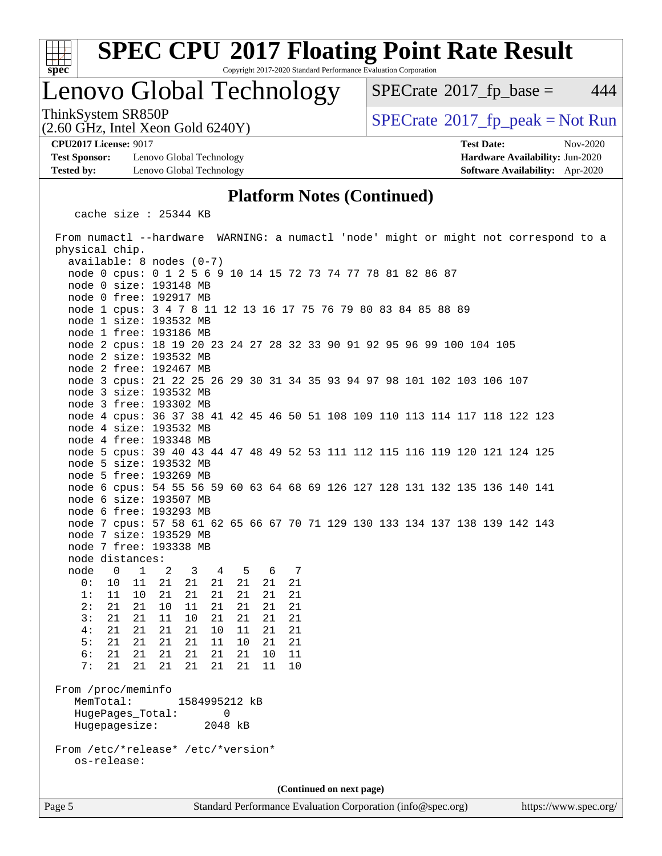

# **[SPEC CPU](http://www.spec.org/auto/cpu2017/Docs/result-fields.html#SPECCPU2017FloatingPointRateResult)[2017 Floating Point Rate Result](http://www.spec.org/auto/cpu2017/Docs/result-fields.html#SPECCPU2017FloatingPointRateResult)**

Copyright 2017-2020 Standard Performance Evaluation Corporation

### Lenovo Global Technology

 $SPECTate@2017<sub>fr</sub> base = 444$ 

ThinkSystem SR850P<br>(2.60 GHz, Intel Xeon Gold 6240V)  $\begin{array}{c} | \text{SPECrate} \textcircled{2017\_fp\_peak} = \text{Not Run} \end{array}$  $\begin{array}{c} | \text{SPECrate} \textcircled{2017\_fp\_peak} = \text{Not Run} \end{array}$  $\begin{array}{c} | \text{SPECrate} \textcircled{2017\_fp\_peak} = \text{Not Run} \end{array}$ 

**[Test Sponsor:](http://www.spec.org/auto/cpu2017/Docs/result-fields.html#TestSponsor)** Lenovo Global Technology **[Hardware Availability:](http://www.spec.org/auto/cpu2017/Docs/result-fields.html#HardwareAvailability)** Jun-2020 **[Tested by:](http://www.spec.org/auto/cpu2017/Docs/result-fields.html#Testedby)** Lenovo Global Technology **[Software Availability:](http://www.spec.org/auto/cpu2017/Docs/result-fields.html#SoftwareAvailability)** Apr-2020

(2.60 GHz, Intel Xeon Gold 6240Y)

**[CPU2017 License:](http://www.spec.org/auto/cpu2017/Docs/result-fields.html#CPU2017License)** 9017 **[Test Date:](http://www.spec.org/auto/cpu2017/Docs/result-fields.html#TestDate)** Nov-2020

#### **[Platform Notes \(Continued\)](http://www.spec.org/auto/cpu2017/Docs/result-fields.html#PlatformNotes)**

cache size : 25344 KB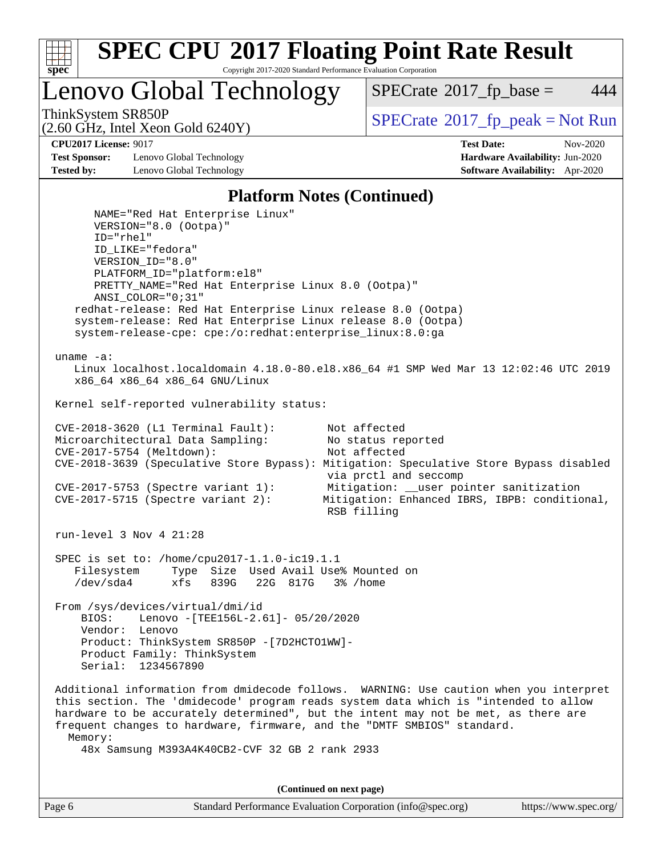

Lenovo Global Technology

 $SPECTate$ <sup>®</sup>[2017\\_fp\\_base =](http://www.spec.org/auto/cpu2017/Docs/result-fields.html#SPECrate2017fpbase) 444

(2.60 GHz, Intel Xeon Gold 6240Y)

ThinkSystem SR850P<br>  $SPECTI<sub>2</sub> Intel Y<sub>0</sub> = Col4 6240Y$ <br>  $SPECTI<sub>3</sub> Intel Y<sub>0</sub> = Col4 6240Y$ 

**[Test Sponsor:](http://www.spec.org/auto/cpu2017/Docs/result-fields.html#TestSponsor)** Lenovo Global Technology **[Hardware Availability:](http://www.spec.org/auto/cpu2017/Docs/result-fields.html#HardwareAvailability)** Jun-2020 **[Tested by:](http://www.spec.org/auto/cpu2017/Docs/result-fields.html#Testedby)** Lenovo Global Technology **[Software Availability:](http://www.spec.org/auto/cpu2017/Docs/result-fields.html#SoftwareAvailability)** Apr-2020

**[CPU2017 License:](http://www.spec.org/auto/cpu2017/Docs/result-fields.html#CPU2017License)** 9017 **[Test Date:](http://www.spec.org/auto/cpu2017/Docs/result-fields.html#TestDate)** Nov-2020

#### **[Platform Notes \(Continued\)](http://www.spec.org/auto/cpu2017/Docs/result-fields.html#PlatformNotes)**

 NAME="Red Hat Enterprise Linux" VERSION="8.0 (Ootpa)" ID="rhel" ID\_LIKE="fedora" VERSION\_ID="8.0" PLATFORM\_ID="platform:el8" PRETTY\_NAME="Red Hat Enterprise Linux 8.0 (Ootpa)" ANSI\_COLOR="0;31" redhat-release: Red Hat Enterprise Linux release 8.0 (Ootpa) system-release: Red Hat Enterprise Linux release 8.0 (Ootpa) system-release-cpe: cpe:/o:redhat:enterprise\_linux:8.0:ga uname -a: Linux localhost.localdomain 4.18.0-80.el8.x86\_64 #1 SMP Wed Mar 13 12:02:46 UTC 2019 x86\_64 x86\_64 x86\_64 GNU/Linux Kernel self-reported vulnerability status: CVE-2018-3620 (L1 Terminal Fault): Not affected<br>Microarchitectural Data Sampling: No status reported Microarchitectural Data Sampling: CVE-2017-5754 (Meltdown): Not affected CVE-2018-3639 (Speculative Store Bypass): Mitigation: Speculative Store Bypass disabled via prctl and seccomp CVE-2017-5753 (Spectre variant 1): Mitigation: \_\_user pointer sanitization CVE-2017-5715 (Spectre variant 2): Mitigation: Enhanced IBRS, IBPB: conditional, RSB filling run-level 3 Nov 4 21:28 SPEC is set to: /home/cpu2017-1.1.0-ic19.1.1 Filesystem Type Size Used Avail Use% Mounted on /dev/sda4 xfs 839G 22G 817G 3% /home From /sys/devices/virtual/dmi/id BIOS: Lenovo -[TEE156L-2.61]- 05/20/2020 Vendor: Lenovo Product: ThinkSystem SR850P -[7D2HCTO1WW]- Product Family: ThinkSystem Serial: 1234567890 Additional information from dmidecode follows. WARNING: Use caution when you interpret this section. The 'dmidecode' program reads system data which is "intended to allow hardware to be accurately determined", but the intent may not be met, as there are frequent changes to hardware, firmware, and the "DMTF SMBIOS" standard. Memory: 48x Samsung M393A4K40CB2-CVF 32 GB 2 rank 2933

**(Continued on next page)**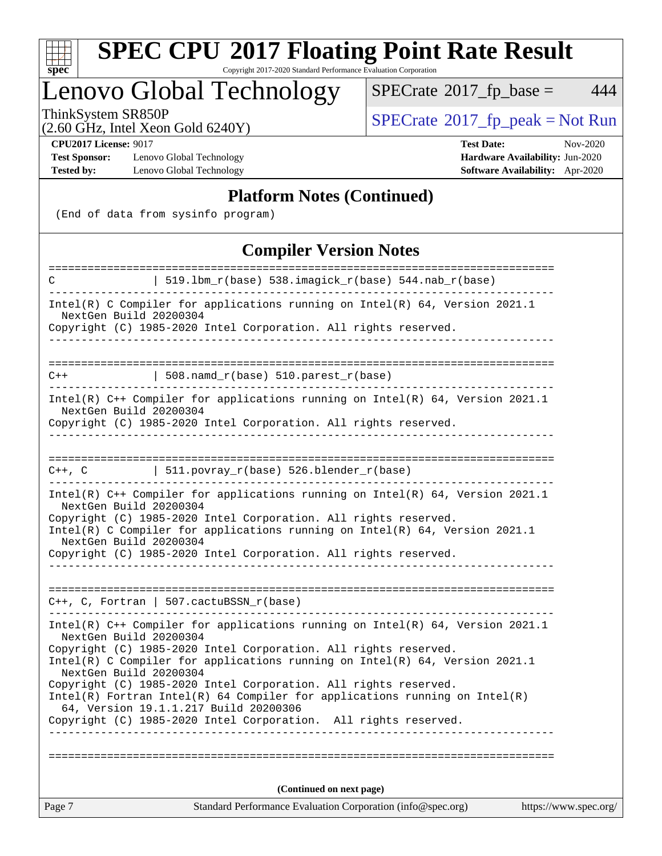

# **[SPEC CPU](http://www.spec.org/auto/cpu2017/Docs/result-fields.html#SPECCPU2017FloatingPointRateResult)[2017 Floating Point Rate Result](http://www.spec.org/auto/cpu2017/Docs/result-fields.html#SPECCPU2017FloatingPointRateResult)**

Copyright 2017-2020 Standard Performance Evaluation Corporation

### Lenovo Global Technology

 $SPECTate@2017_fp\_base = 444$ 

(2.60 GHz, Intel Xeon Gold 6240Y)

ThinkSystem SR850P<br>  $(2.60 \text{ GHz})$  Intel Xeon Gold 6240Y)

**[Test Sponsor:](http://www.spec.org/auto/cpu2017/Docs/result-fields.html#TestSponsor)** Lenovo Global Technology **[Hardware Availability:](http://www.spec.org/auto/cpu2017/Docs/result-fields.html#HardwareAvailability)** Jun-2020 **[Tested by:](http://www.spec.org/auto/cpu2017/Docs/result-fields.html#Testedby)** Lenovo Global Technology **[Software Availability:](http://www.spec.org/auto/cpu2017/Docs/result-fields.html#SoftwareAvailability)** Apr-2020

**[CPU2017 License:](http://www.spec.org/auto/cpu2017/Docs/result-fields.html#CPU2017License)** 9017 **[Test Date:](http://www.spec.org/auto/cpu2017/Docs/result-fields.html#TestDate)** Nov-2020

#### **[Platform Notes \(Continued\)](http://www.spec.org/auto/cpu2017/Docs/result-fields.html#PlatformNotes)**

(End of data from sysinfo program)

### **[Compiler Version Notes](http://www.spec.org/auto/cpu2017/Docs/result-fields.html#CompilerVersionNotes)**

| ======================<br>C                                                                                                                                                                                                                                                               | ===============<br>===================<br>  519.1bm_r(base) 538.imagick_r(base) 544.nab_r(base)                                                    |                       |  |  |  |
|-------------------------------------------------------------------------------------------------------------------------------------------------------------------------------------------------------------------------------------------------------------------------------------------|----------------------------------------------------------------------------------------------------------------------------------------------------|-----------------------|--|--|--|
| NextGen Build 20200304                                                                                                                                                                                                                                                                    | Intel(R) C Compiler for applications running on $Intel(R)$ 64, Version 2021.1<br>Copyright (C) 1985-2020 Intel Corporation. All rights reserved.   |                       |  |  |  |
|                                                                                                                                                                                                                                                                                           |                                                                                                                                                    |                       |  |  |  |
| $C++$                                                                                                                                                                                                                                                                                     | $\vert$ 508.namd_r(base) 510.parest_r(base)                                                                                                        |                       |  |  |  |
| NextGen Build 20200304                                                                                                                                                                                                                                                                    | Intel(R) $C++$ Compiler for applications running on Intel(R) 64, Version 2021.1<br>Copyright (C) 1985-2020 Intel Corporation. All rights reserved. |                       |  |  |  |
|                                                                                                                                                                                                                                                                                           | 511.povray_r(base) 526.blender_r(base)                                                                                                             |                       |  |  |  |
| $C++$ , $C$                                                                                                                                                                                                                                                                               |                                                                                                                                                    |                       |  |  |  |
| Intel(R) C++ Compiler for applications running on Intel(R) $64$ , Version 2021.1<br>NextGen Build 20200304<br>Copyright (C) 1985-2020 Intel Corporation. All rights reserved.<br>Intel(R) C Compiler for applications running on $Intel(R) 64$ , Version 2021.1<br>NextGen Build 20200304 |                                                                                                                                                    |                       |  |  |  |
|                                                                                                                                                                                                                                                                                           | Copyright (C) 1985-2020 Intel Corporation. All rights reserved.                                                                                    |                       |  |  |  |
|                                                                                                                                                                                                                                                                                           |                                                                                                                                                    |                       |  |  |  |
|                                                                                                                                                                                                                                                                                           | $C++$ , C, Fortran   507.cactuBSSN_r(base)                                                                                                         |                       |  |  |  |
| NextGen Build 20200304                                                                                                                                                                                                                                                                    | Intel(R) $C++$ Compiler for applications running on Intel(R) 64, Version 2021.1<br>Copyright (C) 1985-2020 Intel Corporation. All rights reserved. |                       |  |  |  |
| NextGen Build 20200304                                                                                                                                                                                                                                                                    | Intel(R) C Compiler for applications running on $Intel(R) 64$ , Version 2021.1                                                                     |                       |  |  |  |
| Copyright (C) 1985-2020 Intel Corporation. All rights reserved.<br>$Intel(R)$ Fortran Intel(R) 64 Compiler for applications running on Intel(R)<br>64, Version 19.1.1.217 Build 20200306                                                                                                  |                                                                                                                                                    |                       |  |  |  |
|                                                                                                                                                                                                                                                                                           | Copyright (C) 1985-2020 Intel Corporation. All rights reserved.                                                                                    |                       |  |  |  |
|                                                                                                                                                                                                                                                                                           |                                                                                                                                                    |                       |  |  |  |
| (Continued on next page)                                                                                                                                                                                                                                                                  |                                                                                                                                                    |                       |  |  |  |
| Page 7                                                                                                                                                                                                                                                                                    | Standard Performance Evaluation Corporation (info@spec.org)                                                                                        | https://www.spec.org/ |  |  |  |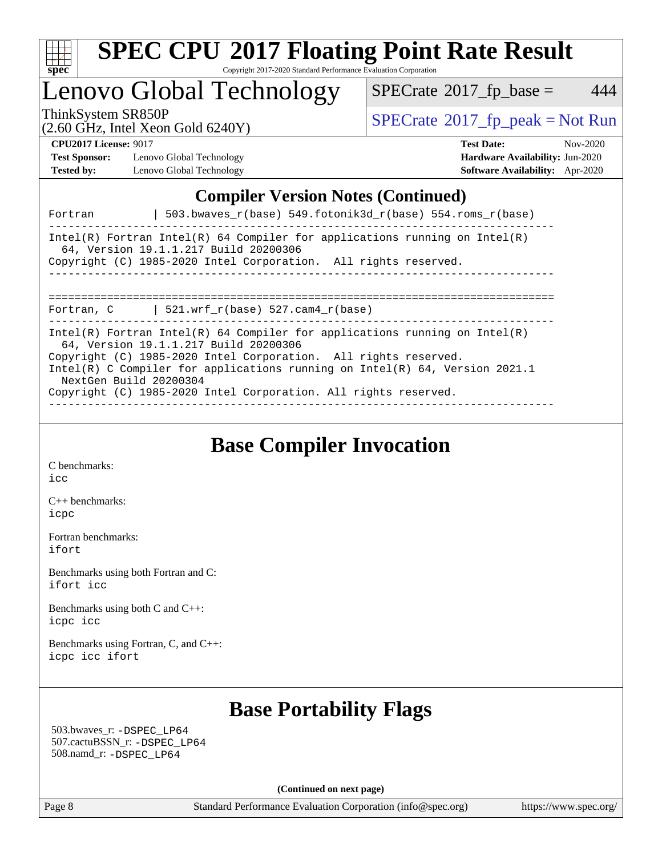

### Lenovo Global Technology

 $SPECTate@2017_fp\_base = 444$ 

(2.60 GHz, Intel Xeon Gold 6240Y)

ThinkSystem SR850P<br>  $\begin{array}{c}\n\text{SPECrate} \textcirc 2017\_fp\_peak = Not Run \\
\text{SPECrate} \textcirc 2017\_fp\_peak = Not Run\n\end{array}$  $\begin{array}{c}\n\text{SPECrate} \textcirc 2017\_fp\_peak = Not Run \\
\text{SPECrate} \textcirc 2017\_fp\_peak = Not Run\n\end{array}$  $\begin{array}{c}\n\text{SPECrate} \textcirc 2017\_fp\_peak = Not Run \\
\text{SPECrate} \textcirc 2017\_fp\_peak = Not Run\n\end{array}$ 

**[Test Sponsor:](http://www.spec.org/auto/cpu2017/Docs/result-fields.html#TestSponsor)** Lenovo Global Technology **[Hardware Availability:](http://www.spec.org/auto/cpu2017/Docs/result-fields.html#HardwareAvailability)** Jun-2020 **[Tested by:](http://www.spec.org/auto/cpu2017/Docs/result-fields.html#Testedby)** Lenovo Global Technology **[Software Availability:](http://www.spec.org/auto/cpu2017/Docs/result-fields.html#SoftwareAvailability)** Apr-2020

**[CPU2017 License:](http://www.spec.org/auto/cpu2017/Docs/result-fields.html#CPU2017License)** 9017 **[Test Date:](http://www.spec.org/auto/cpu2017/Docs/result-fields.html#TestDate)** Nov-2020

### **[Compiler Version Notes \(Continued\)](http://www.spec.org/auto/cpu2017/Docs/result-fields.html#CompilerVersionNotes)**

| Fortran                | 503.bwayes $r(base)$ 549.fotonik3d $r(base)$ 554.roms $r(base)$                                                                                                                                                                                                                                                                             |
|------------------------|---------------------------------------------------------------------------------------------------------------------------------------------------------------------------------------------------------------------------------------------------------------------------------------------------------------------------------------------|
|                        | Intel(R) Fortran Intel(R) 64 Compiler for applications running on Intel(R)<br>64, Version 19.1.1.217 Build 20200306<br>Copyright (C) 1985-2020 Intel Corporation. All rights reserved.                                                                                                                                                      |
|                        | Fortran, C $\vert$ 521.wrf_r(base) 527.cam4_r(base)                                                                                                                                                                                                                                                                                         |
| NextGen Build 20200304 | Intel(R) Fortran Intel(R) 64 Compiler for applications running on Intel(R)<br>64, Version 19.1.1.217 Build 20200306<br>Copyright (C) 1985-2020 Intel Corporation. All rights reserved.<br>Intel(R) C Compiler for applications running on Intel(R) $64$ , Version 2021.1<br>Copyright (C) 1985-2020 Intel Corporation. All rights reserved. |

**[Base Compiler Invocation](http://www.spec.org/auto/cpu2017/Docs/result-fields.html#BaseCompilerInvocation)**

[C benchmarks](http://www.spec.org/auto/cpu2017/Docs/result-fields.html#Cbenchmarks): [icc](http://www.spec.org/cpu2017/results/res2020q4/cpu2017-20201109-24370.flags.html#user_CCbase_intel_icc_66fc1ee009f7361af1fbd72ca7dcefbb700085f36577c54f309893dd4ec40d12360134090235512931783d35fd58c0460139e722d5067c5574d8eaf2b3e37e92)

[C++ benchmarks:](http://www.spec.org/auto/cpu2017/Docs/result-fields.html#CXXbenchmarks) [icpc](http://www.spec.org/cpu2017/results/res2020q4/cpu2017-20201109-24370.flags.html#user_CXXbase_intel_icpc_c510b6838c7f56d33e37e94d029a35b4a7bccf4766a728ee175e80a419847e808290a9b78be685c44ab727ea267ec2f070ec5dc83b407c0218cded6866a35d07)

[Fortran benchmarks](http://www.spec.org/auto/cpu2017/Docs/result-fields.html#Fortranbenchmarks): [ifort](http://www.spec.org/cpu2017/results/res2020q4/cpu2017-20201109-24370.flags.html#user_FCbase_intel_ifort_8111460550e3ca792625aed983ce982f94888b8b503583aa7ba2b8303487b4d8a21a13e7191a45c5fd58ff318f48f9492884d4413fa793fd88dd292cad7027ca)

[Benchmarks using both Fortran and C](http://www.spec.org/auto/cpu2017/Docs/result-fields.html#BenchmarksusingbothFortranandC): [ifort](http://www.spec.org/cpu2017/results/res2020q4/cpu2017-20201109-24370.flags.html#user_CC_FCbase_intel_ifort_8111460550e3ca792625aed983ce982f94888b8b503583aa7ba2b8303487b4d8a21a13e7191a45c5fd58ff318f48f9492884d4413fa793fd88dd292cad7027ca) [icc](http://www.spec.org/cpu2017/results/res2020q4/cpu2017-20201109-24370.flags.html#user_CC_FCbase_intel_icc_66fc1ee009f7361af1fbd72ca7dcefbb700085f36577c54f309893dd4ec40d12360134090235512931783d35fd58c0460139e722d5067c5574d8eaf2b3e37e92)

[Benchmarks using both C and C++](http://www.spec.org/auto/cpu2017/Docs/result-fields.html#BenchmarksusingbothCandCXX): [icpc](http://www.spec.org/cpu2017/results/res2020q4/cpu2017-20201109-24370.flags.html#user_CC_CXXbase_intel_icpc_c510b6838c7f56d33e37e94d029a35b4a7bccf4766a728ee175e80a419847e808290a9b78be685c44ab727ea267ec2f070ec5dc83b407c0218cded6866a35d07) [icc](http://www.spec.org/cpu2017/results/res2020q4/cpu2017-20201109-24370.flags.html#user_CC_CXXbase_intel_icc_66fc1ee009f7361af1fbd72ca7dcefbb700085f36577c54f309893dd4ec40d12360134090235512931783d35fd58c0460139e722d5067c5574d8eaf2b3e37e92)

[Benchmarks using Fortran, C, and C++:](http://www.spec.org/auto/cpu2017/Docs/result-fields.html#BenchmarksusingFortranCandCXX) [icpc](http://www.spec.org/cpu2017/results/res2020q4/cpu2017-20201109-24370.flags.html#user_CC_CXX_FCbase_intel_icpc_c510b6838c7f56d33e37e94d029a35b4a7bccf4766a728ee175e80a419847e808290a9b78be685c44ab727ea267ec2f070ec5dc83b407c0218cded6866a35d07) [icc](http://www.spec.org/cpu2017/results/res2020q4/cpu2017-20201109-24370.flags.html#user_CC_CXX_FCbase_intel_icc_66fc1ee009f7361af1fbd72ca7dcefbb700085f36577c54f309893dd4ec40d12360134090235512931783d35fd58c0460139e722d5067c5574d8eaf2b3e37e92) [ifort](http://www.spec.org/cpu2017/results/res2020q4/cpu2017-20201109-24370.flags.html#user_CC_CXX_FCbase_intel_ifort_8111460550e3ca792625aed983ce982f94888b8b503583aa7ba2b8303487b4d8a21a13e7191a45c5fd58ff318f48f9492884d4413fa793fd88dd292cad7027ca)

### **[Base Portability Flags](http://www.spec.org/auto/cpu2017/Docs/result-fields.html#BasePortabilityFlags)**

 503.bwaves\_r: [-DSPEC\\_LP64](http://www.spec.org/cpu2017/results/res2020q4/cpu2017-20201109-24370.flags.html#suite_basePORTABILITY503_bwaves_r_DSPEC_LP64) 507.cactuBSSN\_r: [-DSPEC\\_LP64](http://www.spec.org/cpu2017/results/res2020q4/cpu2017-20201109-24370.flags.html#suite_basePORTABILITY507_cactuBSSN_r_DSPEC_LP64) 508.namd\_r: [-DSPEC\\_LP64](http://www.spec.org/cpu2017/results/res2020q4/cpu2017-20201109-24370.flags.html#suite_basePORTABILITY508_namd_r_DSPEC_LP64)

**(Continued on next page)**

Page 8 Standard Performance Evaluation Corporation [\(info@spec.org\)](mailto:info@spec.org) <https://www.spec.org/>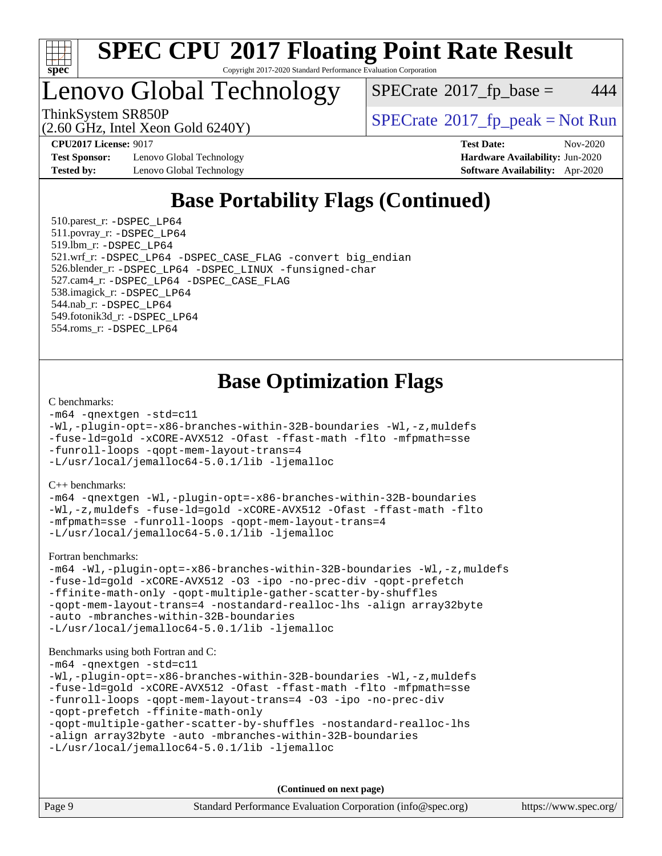

### Lenovo Global Technology

 $SPECTate$ <sup>®</sup>[2017\\_fp\\_base =](http://www.spec.org/auto/cpu2017/Docs/result-fields.html#SPECrate2017fpbase) 444

ThinkSystem SR850P<br>  $(2.60 \text{ GHz, Intel Yoon Gold } 6240 \text{V})$  [SPECrate](http://www.spec.org/auto/cpu2017/Docs/result-fields.html#SPECrate2017fppeak)®[2017\\_fp\\_peak = N](http://www.spec.org/auto/cpu2017/Docs/result-fields.html#SPECrate2017fppeak)ot Run

**[Test Sponsor:](http://www.spec.org/auto/cpu2017/Docs/result-fields.html#TestSponsor)** Lenovo Global Technology **[Hardware Availability:](http://www.spec.org/auto/cpu2017/Docs/result-fields.html#HardwareAvailability)** Jun-2020 **[Tested by:](http://www.spec.org/auto/cpu2017/Docs/result-fields.html#Testedby)** Lenovo Global Technology **[Software Availability:](http://www.spec.org/auto/cpu2017/Docs/result-fields.html#SoftwareAvailability)** Apr-2020

(2.60 GHz, Intel Xeon Gold 6240Y)

**[CPU2017 License:](http://www.spec.org/auto/cpu2017/Docs/result-fields.html#CPU2017License)** 9017 **[Test Date:](http://www.spec.org/auto/cpu2017/Docs/result-fields.html#TestDate)** Nov-2020

### **[Base Portability Flags \(Continued\)](http://www.spec.org/auto/cpu2017/Docs/result-fields.html#BasePortabilityFlags)**

 510.parest\_r: [-DSPEC\\_LP64](http://www.spec.org/cpu2017/results/res2020q4/cpu2017-20201109-24370.flags.html#suite_basePORTABILITY510_parest_r_DSPEC_LP64) 511.povray\_r: [-DSPEC\\_LP64](http://www.spec.org/cpu2017/results/res2020q4/cpu2017-20201109-24370.flags.html#suite_basePORTABILITY511_povray_r_DSPEC_LP64) 519.lbm\_r: [-DSPEC\\_LP64](http://www.spec.org/cpu2017/results/res2020q4/cpu2017-20201109-24370.flags.html#suite_basePORTABILITY519_lbm_r_DSPEC_LP64) 521.wrf\_r: [-DSPEC\\_LP64](http://www.spec.org/cpu2017/results/res2020q4/cpu2017-20201109-24370.flags.html#suite_basePORTABILITY521_wrf_r_DSPEC_LP64) [-DSPEC\\_CASE\\_FLAG](http://www.spec.org/cpu2017/results/res2020q4/cpu2017-20201109-24370.flags.html#b521.wrf_r_baseCPORTABILITY_DSPEC_CASE_FLAG) [-convert big\\_endian](http://www.spec.org/cpu2017/results/res2020q4/cpu2017-20201109-24370.flags.html#user_baseFPORTABILITY521_wrf_r_convert_big_endian_c3194028bc08c63ac5d04de18c48ce6d347e4e562e8892b8bdbdc0214820426deb8554edfa529a3fb25a586e65a3d812c835984020483e7e73212c4d31a38223) 526.blender\_r: [-DSPEC\\_LP64](http://www.spec.org/cpu2017/results/res2020q4/cpu2017-20201109-24370.flags.html#suite_basePORTABILITY526_blender_r_DSPEC_LP64) [-DSPEC\\_LINUX](http://www.spec.org/cpu2017/results/res2020q4/cpu2017-20201109-24370.flags.html#b526.blender_r_baseCPORTABILITY_DSPEC_LINUX) [-funsigned-char](http://www.spec.org/cpu2017/results/res2020q4/cpu2017-20201109-24370.flags.html#user_baseCPORTABILITY526_blender_r_force_uchar_40c60f00ab013830e2dd6774aeded3ff59883ba5a1fc5fc14077f794d777847726e2a5858cbc7672e36e1b067e7e5c1d9a74f7176df07886a243d7cc18edfe67) 527.cam4\_r: [-DSPEC\\_LP64](http://www.spec.org/cpu2017/results/res2020q4/cpu2017-20201109-24370.flags.html#suite_basePORTABILITY527_cam4_r_DSPEC_LP64) [-DSPEC\\_CASE\\_FLAG](http://www.spec.org/cpu2017/results/res2020q4/cpu2017-20201109-24370.flags.html#b527.cam4_r_baseCPORTABILITY_DSPEC_CASE_FLAG) 538.imagick\_r: [-DSPEC\\_LP64](http://www.spec.org/cpu2017/results/res2020q4/cpu2017-20201109-24370.flags.html#suite_basePORTABILITY538_imagick_r_DSPEC_LP64) 544.nab\_r: [-DSPEC\\_LP64](http://www.spec.org/cpu2017/results/res2020q4/cpu2017-20201109-24370.flags.html#suite_basePORTABILITY544_nab_r_DSPEC_LP64) 549.fotonik3d\_r: [-DSPEC\\_LP64](http://www.spec.org/cpu2017/results/res2020q4/cpu2017-20201109-24370.flags.html#suite_basePORTABILITY549_fotonik3d_r_DSPEC_LP64) 554.roms\_r: [-DSPEC\\_LP64](http://www.spec.org/cpu2017/results/res2020q4/cpu2017-20201109-24370.flags.html#suite_basePORTABILITY554_roms_r_DSPEC_LP64)

### **[Base Optimization Flags](http://www.spec.org/auto/cpu2017/Docs/result-fields.html#BaseOptimizationFlags)**

#### [C benchmarks](http://www.spec.org/auto/cpu2017/Docs/result-fields.html#Cbenchmarks):

```
-m64 -qnextgen -std=c11
-Wl,-plugin-opt=-x86-branches-within-32B-boundaries -Wl,-z,muldefs
-fuse-ld=gold -xCORE-AVX512 -Ofast -ffast-math -flto -mfpmath=sse
-funroll-loops -qopt-mem-layout-trans=4
-L/usr/local/jemalloc64-5.0.1/lib -ljemalloc
```
[C++ benchmarks:](http://www.spec.org/auto/cpu2017/Docs/result-fields.html#CXXbenchmarks)

[-m64](http://www.spec.org/cpu2017/results/res2020q4/cpu2017-20201109-24370.flags.html#user_CXXbase_m64-icc) [-qnextgen](http://www.spec.org/cpu2017/results/res2020q4/cpu2017-20201109-24370.flags.html#user_CXXbase_f-qnextgen) [-Wl,-plugin-opt=-x86-branches-within-32B-boundaries](http://www.spec.org/cpu2017/results/res2020q4/cpu2017-20201109-24370.flags.html#user_CXXbase_f-x86-branches-within-32B-boundaries_0098b4e4317ae60947b7b728078a624952a08ac37a3c797dfb4ffeb399e0c61a9dd0f2f44ce917e9361fb9076ccb15e7824594512dd315205382d84209e912f3) [-Wl,-z,muldefs](http://www.spec.org/cpu2017/results/res2020q4/cpu2017-20201109-24370.flags.html#user_CXXbase_link_force_multiple1_b4cbdb97b34bdee9ceefcfe54f4c8ea74255f0b02a4b23e853cdb0e18eb4525ac79b5a88067c842dd0ee6996c24547a27a4b99331201badda8798ef8a743f577) [-fuse-ld=gold](http://www.spec.org/cpu2017/results/res2020q4/cpu2017-20201109-24370.flags.html#user_CXXbase_f-fuse-ld_920b3586e2b8c6e0748b9c84fa9b744736ba725a32cab14ad8f3d4ad28eecb2f59d1144823d2e17006539a88734fe1fc08fc3035f7676166309105a78aaabc32) [-xCORE-AVX512](http://www.spec.org/cpu2017/results/res2020q4/cpu2017-20201109-24370.flags.html#user_CXXbase_f-xCORE-AVX512) [-Ofast](http://www.spec.org/cpu2017/results/res2020q4/cpu2017-20201109-24370.flags.html#user_CXXbase_f-Ofast) [-ffast-math](http://www.spec.org/cpu2017/results/res2020q4/cpu2017-20201109-24370.flags.html#user_CXXbase_f-ffast-math) [-flto](http://www.spec.org/cpu2017/results/res2020q4/cpu2017-20201109-24370.flags.html#user_CXXbase_f-flto) [-mfpmath=sse](http://www.spec.org/cpu2017/results/res2020q4/cpu2017-20201109-24370.flags.html#user_CXXbase_f-mfpmath_70eb8fac26bde974f8ab713bc9086c5621c0b8d2f6c86f38af0bd7062540daf19db5f3a066d8c6684be05d84c9b6322eb3b5be6619d967835195b93d6c02afa1) [-funroll-loops](http://www.spec.org/cpu2017/results/res2020q4/cpu2017-20201109-24370.flags.html#user_CXXbase_f-funroll-loops) [-qopt-mem-layout-trans=4](http://www.spec.org/cpu2017/results/res2020q4/cpu2017-20201109-24370.flags.html#user_CXXbase_f-qopt-mem-layout-trans_fa39e755916c150a61361b7846f310bcdf6f04e385ef281cadf3647acec3f0ae266d1a1d22d972a7087a248fd4e6ca390a3634700869573d231a252c784941a8) [-L/usr/local/jemalloc64-5.0.1/lib](http://www.spec.org/cpu2017/results/res2020q4/cpu2017-20201109-24370.flags.html#user_CXXbase_jemalloc_link_path64_1_cc289568b1a6c0fd3b62c91b824c27fcb5af5e8098e6ad028160d21144ef1b8aef3170d2acf0bee98a8da324cfe4f67d0a3d0c4cc4673d993d694dc2a0df248b) [-ljemalloc](http://www.spec.org/cpu2017/results/res2020q4/cpu2017-20201109-24370.flags.html#user_CXXbase_jemalloc_link_lib_d1249b907c500fa1c0672f44f562e3d0f79738ae9e3c4a9c376d49f265a04b9c99b167ecedbf6711b3085be911c67ff61f150a17b3472be731631ba4d0471706)

[Fortran benchmarks](http://www.spec.org/auto/cpu2017/Docs/result-fields.html#Fortranbenchmarks):

```
-m64 -Wl,-plugin-opt=-x86-branches-within-32B-boundaries -Wl,-z,muldefs
-fuse-ld=gold -xCORE-AVX512 -O3 -ipo -no-prec-div -qopt-prefetch
-ffinite-math-only -qopt-multiple-gather-scatter-by-shuffles
-qopt-mem-layout-trans=4 -nostandard-realloc-lhs -align array32byte
-auto -mbranches-within-32B-boundaries
-L/usr/local/jemalloc64-5.0.1/lib -ljemalloc
```
#### [Benchmarks using both Fortran and C](http://www.spec.org/auto/cpu2017/Docs/result-fields.html#BenchmarksusingbothFortranandC):

```
-m64 -qnextgen -std=c11
-Wl,-plugin-opt=-x86-branches-within-32B-boundaries -Wl,-z,muldefs
-fuse-ld=gold -xCORE-AVX512 -Ofast -ffast-math -flto -mfpmath=sse
-funroll-loops -qopt-mem-layout-trans=4 -O3 -ipo -no-prec-div
-qopt-prefetch -ffinite-math-only
-qopt-multiple-gather-scatter-by-shuffles -nostandard-realloc-lhs
-align array32byte -auto -mbranches-within-32B-boundaries
-L/usr/local/jemalloc64-5.0.1/lib -ljemalloc
```
**(Continued on next page)**

| Page 9 | Standard Performance Evaluation Corporation (info@spec.org) | https://www.spec.org/ |
|--------|-------------------------------------------------------------|-----------------------|
|--------|-------------------------------------------------------------|-----------------------|